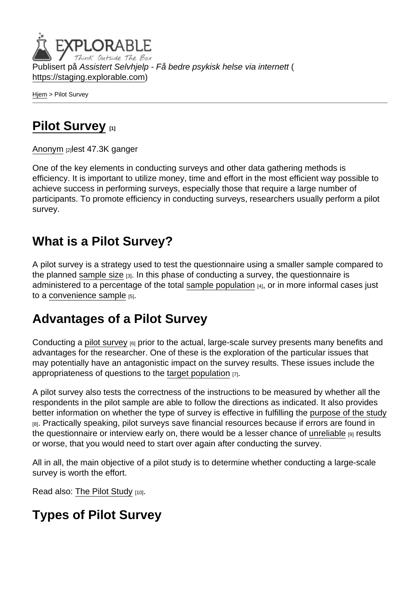Publisert på Assistert Selvhjelp - Få bedre psykisk helse via internett ( <https://staging.explorable.com>)

[Hjem](https://staging.explorable.com/) > Pilot Survey

# [Pilot Survey](https://staging.explorable.com/pilot-survey) [1]

[Anonym](https://staging.explorable.com/users/sarah) [2]lest 47.3K ganger

One of the key elements in conducting surveys and other data gathering methods is efficiency. It is important to utilize money, time and effort in the most efficient way possible to achieve success in performing surveys, especially those that require a large number of participants. To promote efficiency in conducting surveys, researchers usually perform a pilot survey.

### What is a Pilot Survey?

A pilot survey is a strategy used to test the questionnaire using a smaller sample compared to the planned [sample size](https://staging.explorable.com/sample-size)  $[3]$ . In this phase of conducting a survey, the questionnaire is administered to a percentage of the total [sample population](https://staging.explorable.com/population-sampling) [4], or in more informal cases just to a [convenience sample](https://staging.explorable.com/convenience-sampling) [5].

## Advantages of a Pilot Survey

Conducting a [pilot survey](http://stats.oecd.org/glossary/detail.asp?ID=3787) [6] prior to the actual, large-scale survey presents many benefits and advantages for the researcher. One of these is the exploration of the particular issues that may potentially have an antagonistic impact on the survey results. These issues include the appropriateness of questions to the [target population](https://staging.explorable.com/research-population) [7].

A pilot survey also tests the correctness of the instructions to be measured by whether all the respondents in the pilot sample are able to follow the directions as indicated. It also provides better information on whether the type of survey is effective in fulfilling the [purpose of the study](https://staging.explorable.com/defining-survey-goals) [8]. Practically speaking, pilot surveys save financial resources because if errors are found in the questionnaire or interview early on, there would be a lesser chance of [unreliable](https://staging.explorable.com/definition-of-reliability) [9] results or worse, that you would need to start over again after conducting the survey.

All in all, the main objective of a pilot study is to determine whether conducting a large-scale survey is worth the effort.

Read also: [The Pilot Study](https://staging.explorable.com/pilot-study) [10].

Types of Pilot Survey